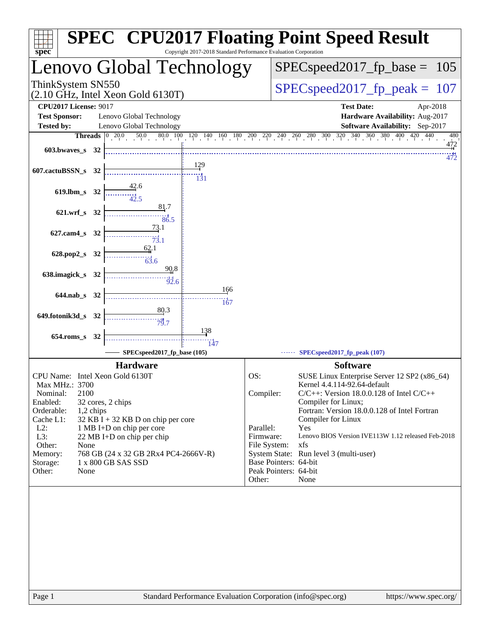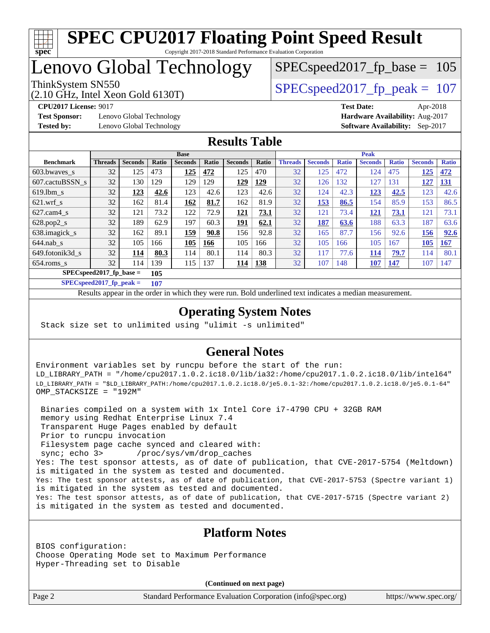

## Lenovo Global Technology

(2.10 GHz, Intel Xeon Gold 6130T)

ThinkSystem SN550  $SPEC speed2017$  fp\_peak = 107

SPECspeed2017 fp base =  $105$ 

**[Test Sponsor:](http://www.spec.org/auto/cpu2017/Docs/result-fields.html#TestSponsor)** Lenovo Global Technology **[Hardware Availability:](http://www.spec.org/auto/cpu2017/Docs/result-fields.html#HardwareAvailability)** Aug-2017 **[Tested by:](http://www.spec.org/auto/cpu2017/Docs/result-fields.html#Testedby)** Lenovo Global Technology **[Software Availability:](http://www.spec.org/auto/cpu2017/Docs/result-fields.html#SoftwareAvailability)** Sep-2017

**[CPU2017 License:](http://www.spec.org/auto/cpu2017/Docs/result-fields.html#CPU2017License)** 9017 **[Test Date:](http://www.spec.org/auto/cpu2017/Docs/result-fields.html#TestDate)** Apr-2018

#### **[Results Table](http://www.spec.org/auto/cpu2017/Docs/result-fields.html#ResultsTable)**

|                                  | <b>Base</b>    |                |       |                |       |                | <b>Peak</b> |                |                |              |                |              |                |              |
|----------------------------------|----------------|----------------|-------|----------------|-------|----------------|-------------|----------------|----------------|--------------|----------------|--------------|----------------|--------------|
| <b>Benchmark</b>                 | <b>Threads</b> | <b>Seconds</b> | Ratio | <b>Seconds</b> | Ratio | <b>Seconds</b> | Ratio       | <b>Threads</b> | <b>Seconds</b> | <b>Ratio</b> | <b>Seconds</b> | <b>Ratio</b> | <b>Seconds</b> | <b>Ratio</b> |
| 603.bwayes s                     | 32             | 125            | 473   | 125            | 472   | 125            | 470         | 32             | 125            | 472          | 124            | 475          | 125            | 472          |
| 607.cactuBSSN s                  | 32             | 130            | 129   | 129            | 129   | 129            | <u>129</u>  | 32             | 126            | 132          | 127            | 131          | 127            | <u>131</u>   |
| $619.1$ bm s                     | 32             | 123            | 42.6  | 123            | 42.6  | 123            | 42.6        | 32             | 124            | 42.3         | 123            | 42.5         | 123            | 42.6         |
| $621.wrf$ s                      | 32             | 162            | 81.4  | 162            | 81.7  | 162            | 81.9        | 32             | 153            | 86.5         | 154            | 85.9         | 153            | 86.5         |
| $627$ .cam $4$ s                 | 32             | 121            | 73.2  | 122            | 72.9  | 121            | 73.1        | 32             | 121            | 73.4         | <u>121</u>     | 73.1         | 121            | 73.1         |
| $628.pop2_s$                     | 32             | 189            | 62.9  | 197            | 60.3  | 191            | 62.1        | 32             | 187            | 63.6         | 188            | 63.3         | 187            | 63.6         |
| 638. imagick_s                   | 32             | 162            | 89.1  | 159            | 90.8  | 156            | 92.8        | 32             | 165            | 87.7         | 156            | 92.6         | 156            | 92.6         |
| $644$ .nab s                     | 32             | 105            | 166   | 105            | 166   | 105            | 166         | 32             | 105            | 166          | 105            | 167          | 105            | <b>167</b>   |
| 649.fotonik3d s                  | 32             | 114            | 80.3  | 114            | 80.1  | 114            | 80.3        | 32             | 117            | 77.6         | 114            | 79.7         | 114            | 80.1         |
| $654$ .roms s                    | 32             | 114            | 139   | 115            | 137   | 114            | <b>138</b>  | 32             | 107            | 148          | 107            | 147          | 107            | 147          |
| $SPECspeed2017$ fp base =<br>105 |                |                |       |                |       |                |             |                |                |              |                |              |                |              |

**[SPECspeed2017\\_fp\\_peak =](http://www.spec.org/auto/cpu2017/Docs/result-fields.html#SPECspeed2017fppeak) 107**

Results appear in the [order in which they were run.](http://www.spec.org/auto/cpu2017/Docs/result-fields.html#RunOrder) Bold underlined text [indicates a median measurement](http://www.spec.org/auto/cpu2017/Docs/result-fields.html#Median).

#### **[Operating System Notes](http://www.spec.org/auto/cpu2017/Docs/result-fields.html#OperatingSystemNotes)**

Stack size set to unlimited using "ulimit -s unlimited"

#### **[General Notes](http://www.spec.org/auto/cpu2017/Docs/result-fields.html#GeneralNotes)**

Environment variables set by runcpu before the start of the run: LD\_LIBRARY\_PATH = "/home/cpu2017.1.0.2.ic18.0/lib/ia32:/home/cpu2017.1.0.2.ic18.0/lib/intel64" LD\_LIBRARY\_PATH = "\$LD\_LIBRARY\_PATH:/home/cpu2017.1.0.2.ic18.0/je5.0.1-32:/home/cpu2017.1.0.2.ic18.0/je5.0.1-64" OMP\_STACKSIZE = "192M"

 Binaries compiled on a system with 1x Intel Core i7-4790 CPU + 32GB RAM memory using Redhat Enterprise Linux 7.4 Transparent Huge Pages enabled by default Prior to runcpu invocation Filesystem page cache synced and cleared with: sync; echo 3> /proc/sys/vm/drop\_caches Yes: The test sponsor attests, as of date of publication, that CVE-2017-5754 (Meltdown) is mitigated in the system as tested and documented. Yes: The test sponsor attests, as of date of publication, that CVE-2017-5753 (Spectre variant 1) is mitigated in the system as tested and documented. Yes: The test sponsor attests, as of date of publication, that CVE-2017-5715 (Spectre variant 2) is mitigated in the system as tested and documented.

#### **[Platform Notes](http://www.spec.org/auto/cpu2017/Docs/result-fields.html#PlatformNotes)**

BIOS configuration: Choose Operating Mode set to Maximum Performance Hyper-Threading set to Disable

**(Continued on next page)**

Page 2 Standard Performance Evaluation Corporation [\(info@spec.org\)](mailto:info@spec.org) <https://www.spec.org/>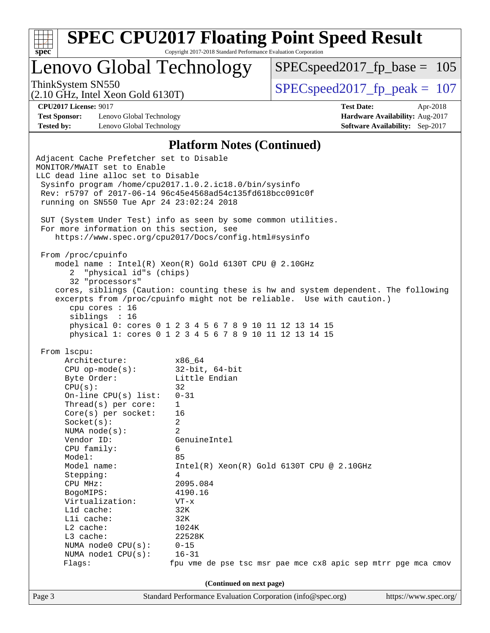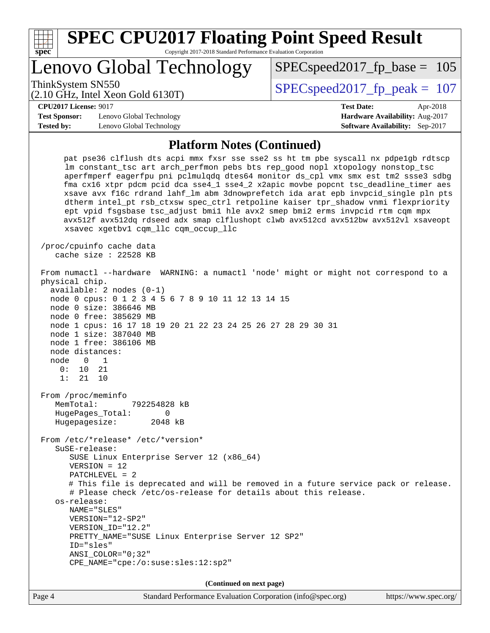| <b>SPEC CPU2017 Floating Point Speed Result</b><br>Copyright 2017-2018 Standard Performance Evaluation Corporation<br>spec <sup>®</sup>                                                                                                                                                                                                                                                                                                                                                                                                                                                                                                                                                                                                         |                                        |  |  |  |  |  |
|-------------------------------------------------------------------------------------------------------------------------------------------------------------------------------------------------------------------------------------------------------------------------------------------------------------------------------------------------------------------------------------------------------------------------------------------------------------------------------------------------------------------------------------------------------------------------------------------------------------------------------------------------------------------------------------------------------------------------------------------------|----------------------------------------|--|--|--|--|--|
| Lenovo Global Technology                                                                                                                                                                                                                                                                                                                                                                                                                                                                                                                                                                                                                                                                                                                        | $SPEC speed2017_f p\_base = 105$       |  |  |  |  |  |
| ThinkSystem SN550<br>$(2.10 \text{ GHz}, \text{Intel Xeon Gold } 6130 \text{T})$                                                                                                                                                                                                                                                                                                                                                                                                                                                                                                                                                                                                                                                                | $SPEC speed2017_fp\_peak = 107$        |  |  |  |  |  |
| <b>CPU2017 License: 9017</b>                                                                                                                                                                                                                                                                                                                                                                                                                                                                                                                                                                                                                                                                                                                    | <b>Test Date:</b><br>Apr-2018          |  |  |  |  |  |
| <b>Test Sponsor:</b><br>Lenovo Global Technology                                                                                                                                                                                                                                                                                                                                                                                                                                                                                                                                                                                                                                                                                                | Hardware Availability: Aug-2017        |  |  |  |  |  |
| <b>Tested by:</b><br>Lenovo Global Technology                                                                                                                                                                                                                                                                                                                                                                                                                                                                                                                                                                                                                                                                                                   | <b>Software Availability:</b> Sep-2017 |  |  |  |  |  |
| <b>Platform Notes (Continued)</b>                                                                                                                                                                                                                                                                                                                                                                                                                                                                                                                                                                                                                                                                                                               |                                        |  |  |  |  |  |
| pat pse36 clflush dts acpi mmx fxsr sse sse2 ss ht tm pbe syscall nx pdpelgb rdtscp<br>lm constant_tsc art arch_perfmon pebs bts rep_good nopl xtopology nonstop_tsc<br>aperfmperf eagerfpu pni pclmulqdq dtes64 monitor ds_cpl vmx smx est tm2 ssse3 sdbg<br>fma cx16 xtpr pdcm pcid dca sse4_1 sse4_2 x2apic movbe popcnt tsc_deadline_timer aes<br>xsave avx f16c rdrand lahf_lm abm 3dnowprefetch ida arat epb invpcid_single pln pts<br>dtherm intel_pt rsb_ctxsw spec_ctrl retpoline kaiser tpr_shadow vnmi flexpriority<br>ept vpid fsgsbase tsc_adjust bmil hle avx2 smep bmi2 erms invpcid rtm cqm mpx<br>avx512f avx512dq rdseed adx smap clflushopt clwb avx512cd avx512bw avx512vl xsaveopt<br>xsavec xgetbvl cqm_llc cqm_occup_llc |                                        |  |  |  |  |  |
| /proc/cpuinfo cache data<br>cache size : $22528$ KB                                                                                                                                                                                                                                                                                                                                                                                                                                                                                                                                                                                                                                                                                             |                                        |  |  |  |  |  |
| From numactl --hardware WARNING: a numactl 'node' might or might not correspond to a<br>physical chip.<br>$available: 2 nodes (0-1)$<br>node 0 cpus: 0 1 2 3 4 5 6 7 8 9 10 11 12 13 14 15<br>node 0 size: 386646 MB<br>node 0 free: 385629 MB<br>node 1 cpus: 16 17 18 19 20 21 22 23 24 25 26 27 28 29 30 31<br>node 1 size: 387040 MB<br>node 1 free: 386106 MB<br>node distances:<br>node<br>0<br>1<br>0:<br>10<br>21<br>1:<br>21<br>10                                                                                                                                                                                                                                                                                                     |                                        |  |  |  |  |  |
| From /proc/meminfo<br>MemTotal:<br>792254828 kB<br>HugePages_Total:<br>0<br>Hugepagesize:<br>2048 kB                                                                                                                                                                                                                                                                                                                                                                                                                                                                                                                                                                                                                                            |                                        |  |  |  |  |  |
| From /etc/*release* /etc/*version*<br>SuSE-release:<br>SUSE Linux Enterprise Server 12 (x86_64)<br>$VERSION = 12$<br>$PATCHLEVEL = 2$<br># This file is deprecated and will be removed in a future service pack or release.<br># Please check /etc/os-release for details about this release.<br>os-release:<br>NAME="SLES"<br>VERSION="12-SP2"<br>VERSION_ID="12.2"<br>PRETTY_NAME="SUSE Linux Enterprise Server 12 SP2"<br>ID="sles"<br>ANSI COLOR="0;32"<br>CPE_NAME="cpe:/o:suse:sles:12:sp2"                                                                                                                                                                                                                                               |                                        |  |  |  |  |  |
| (Continued on next page)                                                                                                                                                                                                                                                                                                                                                                                                                                                                                                                                                                                                                                                                                                                        |                                        |  |  |  |  |  |
| Standard Performance Evaluation Corporation (info@spec.org)<br>Page 4                                                                                                                                                                                                                                                                                                                                                                                                                                                                                                                                                                                                                                                                           | https://www.spec.org/                  |  |  |  |  |  |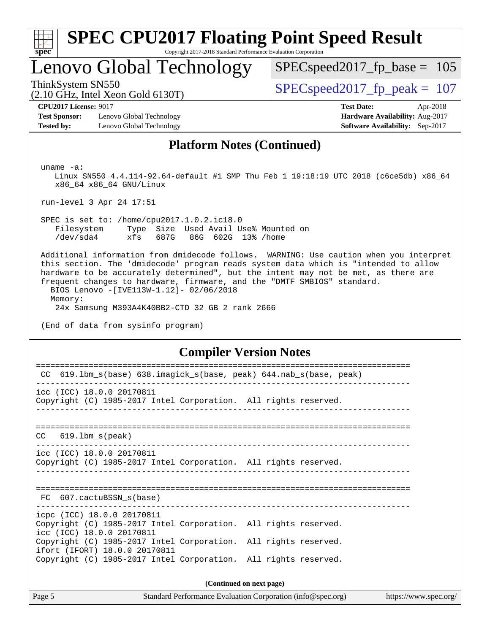

# **[SPEC CPU2017 Floating Point Speed Result](http://www.spec.org/auto/cpu2017/Docs/result-fields.html#SPECCPU2017FloatingPointSpeedResult)**

Copyright 2017-2018 Standard Performance Evaluation Corporation

## Lenovo Global Technology

 $SPEC speed2017_fp\_base = 105$ 

(2.10 GHz, Intel Xeon Gold 6130T)

ThinkSystem SN550<br>  $SPEC speed2017$  fp\_peak = 107

**[Test Sponsor:](http://www.spec.org/auto/cpu2017/Docs/result-fields.html#TestSponsor)** Lenovo Global Technology **[Hardware Availability:](http://www.spec.org/auto/cpu2017/Docs/result-fields.html#HardwareAvailability)** Aug-2017 **[Tested by:](http://www.spec.org/auto/cpu2017/Docs/result-fields.html#Testedby)** Lenovo Global Technology **[Software Availability:](http://www.spec.org/auto/cpu2017/Docs/result-fields.html#SoftwareAvailability)** Sep-2017

**[CPU2017 License:](http://www.spec.org/auto/cpu2017/Docs/result-fields.html#CPU2017License)** 9017 **[Test Date:](http://www.spec.org/auto/cpu2017/Docs/result-fields.html#TestDate)** Apr-2018

#### **[Platform Notes \(Continued\)](http://www.spec.org/auto/cpu2017/Docs/result-fields.html#PlatformNotes)**

uname -a:

 Linux SN550 4.4.114-92.64-default #1 SMP Thu Feb 1 19:18:19 UTC 2018 (c6ce5db) x86\_64 x86\_64 x86\_64 GNU/Linux

run-level 3 Apr 24 17:51

 SPEC is set to: /home/cpu2017.1.0.2.ic18.0 Filesystem Type Size Used Avail Use% Mounted on /dev/sda4 xfs 687G 86G 602G 13% /home

 Additional information from dmidecode follows. WARNING: Use caution when you interpret this section. The 'dmidecode' program reads system data which is "intended to allow hardware to be accurately determined", but the intent may not be met, as there are frequent changes to hardware, firmware, and the "DMTF SMBIOS" standard. BIOS Lenovo -[IVE113W-1.12]- 02/06/2018 Memory:

24x Samsung M393A4K40BB2-CTD 32 GB 2 rank 2666

(End of data from sysinfo program)

#### **[Compiler Version Notes](http://www.spec.org/auto/cpu2017/Docs/result-fields.html#CompilerVersionNotes)**

| CC 619.1bm_s(base) 638.imagick_s(base, peak) 644.nab_s(base, peak)                                                         |  |  |  |  |  |  |
|----------------------------------------------------------------------------------------------------------------------------|--|--|--|--|--|--|
| icc (ICC) 18.0.0 20170811<br>Copyright (C) 1985-2017 Intel Corporation. All rights reserved.                               |  |  |  |  |  |  |
| $CC$ $619.1bm_s(peak)$                                                                                                     |  |  |  |  |  |  |
| icc (ICC) 18.0.0 20170811<br>Copyright (C) 1985-2017 Intel Corporation. All rights reserved.                               |  |  |  |  |  |  |
| FC 607.cactuBSSN s(base)                                                                                                   |  |  |  |  |  |  |
| icpc (ICC) 18.0.0 20170811<br>Copyright (C) 1985-2017 Intel Corporation. All rights reserved.<br>icc (ICC) 18.0.0 20170811 |  |  |  |  |  |  |
| Copyright (C) 1985-2017 Intel Corporation. All rights reserved.<br>ifort (IFORT) 18.0.0 20170811                           |  |  |  |  |  |  |
| Copyright (C) 1985-2017 Intel Corporation. All rights reserved.                                                            |  |  |  |  |  |  |
| (Continued on next page)                                                                                                   |  |  |  |  |  |  |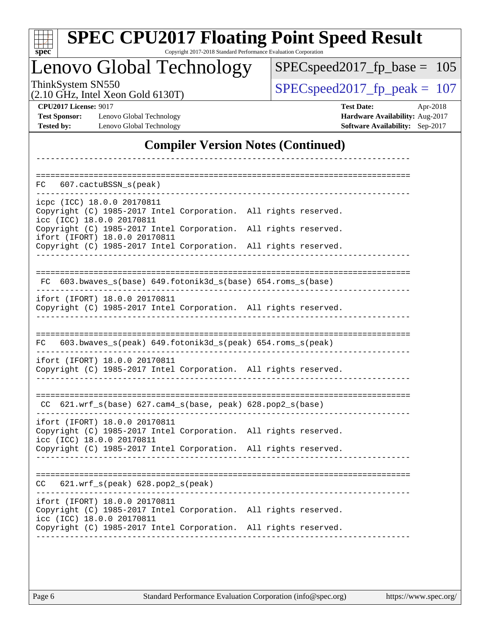|  | spec |  |  |  |  |
|--|------|--|--|--|--|

# **[SPEC CPU2017 Floating Point Speed Result](http://www.spec.org/auto/cpu2017/Docs/result-fields.html#SPECCPU2017FloatingPointSpeedResult)**

Copyright 2017-2018 Standard Performance Evaluation Corporation

## Lenovo Global Technology

 $SPEC speed2017_fp\_base = 105$ 

(2.10 GHz, Intel Xeon Gold 6130T)

ThinkSystem SN550<br>  $(2.10 \text{ GHz. Intel } X_{\text{eon Gold}} 6130 \text{T})$   $\text{SPEC speed2017\_fp\_peak} = 107$ 

**[Test Sponsor:](http://www.spec.org/auto/cpu2017/Docs/result-fields.html#TestSponsor)** Lenovo Global Technology **[Hardware Availability:](http://www.spec.org/auto/cpu2017/Docs/result-fields.html#HardwareAvailability)** Aug-2017 **[Tested by:](http://www.spec.org/auto/cpu2017/Docs/result-fields.html#Testedby)** Lenovo Global Technology **[Software Availability:](http://www.spec.org/auto/cpu2017/Docs/result-fields.html#SoftwareAvailability)** Sep-2017

**[CPU2017 License:](http://www.spec.org/auto/cpu2017/Docs/result-fields.html#CPU2017License)** 9017 **[Test Date:](http://www.spec.org/auto/cpu2017/Docs/result-fields.html#TestDate)** Apr-2018

#### **[Compiler Version Notes \(Continued\)](http://www.spec.org/auto/cpu2017/Docs/result-fields.html#CompilerVersionNotes)**

| 607.cactuBSSN s(peak)<br>FC.                                                                                                                                                |                      |
|-----------------------------------------------------------------------------------------------------------------------------------------------------------------------------|----------------------|
| icpc (ICC) 18.0.0 20170811<br>Copyright (C) 1985-2017 Intel Corporation.<br>icc (ICC) 18.0.0 20170811                                                                       | All rights reserved. |
| Copyright (C) 1985-2017 Intel Corporation.<br>ifort (IFORT) 18.0.0 20170811                                                                                                 | All rights reserved. |
| Copyright (C) 1985-2017 Intel Corporation.                                                                                                                                  | All rights reserved. |
| 603.bwaves_s(base) 649.fotonik3d_s(base) 654.roms_s(base)<br>FC                                                                                                             |                      |
| ifort (IFORT) 18.0.0 20170811<br>Copyright (C) 1985-2017 Intel Corporation. All rights reserved.                                                                            |                      |
| 603.bwaves_s(peak) 649.fotonik3d_s(peak) 654.roms_s(peak)<br>FC.                                                                                                            |                      |
| ifort (IFORT) 18.0.0 20170811<br>Copyright (C) 1985-2017 Intel Corporation. All rights reserved.                                                                            |                      |
| 621.wrf_s(base) 627.cam4_s(base, peak) 628.pop2_s(base)<br>CC                                                                                                               |                      |
| ifort (IFORT) 18.0.0 20170811<br>Copyright (C) 1985-2017 Intel Corporation. All rights reserved.<br>icc (ICC) 18.0.0 20170811                                               |                      |
| Copyright (C) 1985-2017 Intel Corporation. All rights reserved.                                                                                                             |                      |
| 621.wrf_s(peak) 628.pop2_s(peak)<br>CC                                                                                                                                      |                      |
| ifort (IFORT) 18.0.0 20170811<br>Copyright (C) 1985-2017 Intel Corporation. All rights reserved.<br>icc (ICC) 18.0.0 20170811<br>Copyright (C) 1985-2017 Intel Corporation. | All rights reserved. |
|                                                                                                                                                                             |                      |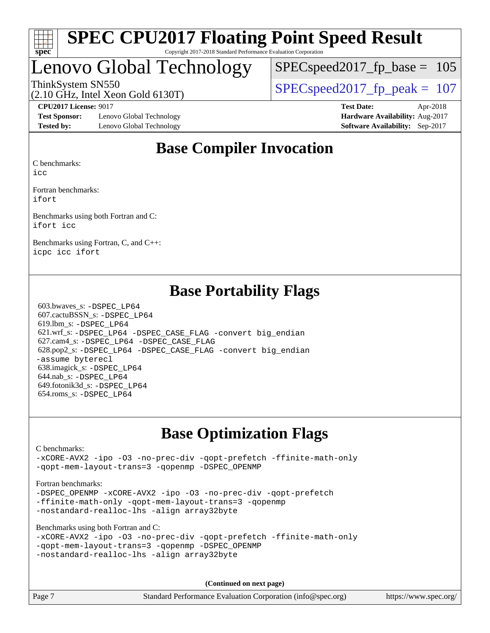

## Lenovo Global Technology

SPECspeed2017 fp base =  $105$ 

(2.10 GHz, Intel Xeon Gold 6130T)

ThinkSystem SN550<br>  $SPEC speed2017$  fp\_peak = 107

**[Test Sponsor:](http://www.spec.org/auto/cpu2017/Docs/result-fields.html#TestSponsor)** Lenovo Global Technology **[Hardware Availability:](http://www.spec.org/auto/cpu2017/Docs/result-fields.html#HardwareAvailability)** Aug-2017 **[Tested by:](http://www.spec.org/auto/cpu2017/Docs/result-fields.html#Testedby)** Lenovo Global Technology **[Software Availability:](http://www.spec.org/auto/cpu2017/Docs/result-fields.html#SoftwareAvailability)** Sep-2017

**[CPU2017 License:](http://www.spec.org/auto/cpu2017/Docs/result-fields.html#CPU2017License)** 9017 **[Test Date:](http://www.spec.org/auto/cpu2017/Docs/result-fields.html#TestDate)** Apr-2018

## **[Base Compiler Invocation](http://www.spec.org/auto/cpu2017/Docs/result-fields.html#BaseCompilerInvocation)**

[C benchmarks](http://www.spec.org/auto/cpu2017/Docs/result-fields.html#Cbenchmarks):

[icc](http://www.spec.org/cpu2017/results/res2018q2/cpu2017-20180511-05448.flags.html#user_CCbase_intel_icc_18.0_66fc1ee009f7361af1fbd72ca7dcefbb700085f36577c54f309893dd4ec40d12360134090235512931783d35fd58c0460139e722d5067c5574d8eaf2b3e37e92)

[Fortran benchmarks](http://www.spec.org/auto/cpu2017/Docs/result-fields.html#Fortranbenchmarks): [ifort](http://www.spec.org/cpu2017/results/res2018q2/cpu2017-20180511-05448.flags.html#user_FCbase_intel_ifort_18.0_8111460550e3ca792625aed983ce982f94888b8b503583aa7ba2b8303487b4d8a21a13e7191a45c5fd58ff318f48f9492884d4413fa793fd88dd292cad7027ca)

[Benchmarks using both Fortran and C](http://www.spec.org/auto/cpu2017/Docs/result-fields.html#BenchmarksusingbothFortranandC): [ifort](http://www.spec.org/cpu2017/results/res2018q2/cpu2017-20180511-05448.flags.html#user_CC_FCbase_intel_ifort_18.0_8111460550e3ca792625aed983ce982f94888b8b503583aa7ba2b8303487b4d8a21a13e7191a45c5fd58ff318f48f9492884d4413fa793fd88dd292cad7027ca) [icc](http://www.spec.org/cpu2017/results/res2018q2/cpu2017-20180511-05448.flags.html#user_CC_FCbase_intel_icc_18.0_66fc1ee009f7361af1fbd72ca7dcefbb700085f36577c54f309893dd4ec40d12360134090235512931783d35fd58c0460139e722d5067c5574d8eaf2b3e37e92)

[Benchmarks using Fortran, C, and C++:](http://www.spec.org/auto/cpu2017/Docs/result-fields.html#BenchmarksusingFortranCandCXX) [icpc](http://www.spec.org/cpu2017/results/res2018q2/cpu2017-20180511-05448.flags.html#user_CC_CXX_FCbase_intel_icpc_18.0_c510b6838c7f56d33e37e94d029a35b4a7bccf4766a728ee175e80a419847e808290a9b78be685c44ab727ea267ec2f070ec5dc83b407c0218cded6866a35d07) [icc](http://www.spec.org/cpu2017/results/res2018q2/cpu2017-20180511-05448.flags.html#user_CC_CXX_FCbase_intel_icc_18.0_66fc1ee009f7361af1fbd72ca7dcefbb700085f36577c54f309893dd4ec40d12360134090235512931783d35fd58c0460139e722d5067c5574d8eaf2b3e37e92) [ifort](http://www.spec.org/cpu2017/results/res2018q2/cpu2017-20180511-05448.flags.html#user_CC_CXX_FCbase_intel_ifort_18.0_8111460550e3ca792625aed983ce982f94888b8b503583aa7ba2b8303487b4d8a21a13e7191a45c5fd58ff318f48f9492884d4413fa793fd88dd292cad7027ca)

## **[Base Portability Flags](http://www.spec.org/auto/cpu2017/Docs/result-fields.html#BasePortabilityFlags)**

 603.bwaves\_s: [-DSPEC\\_LP64](http://www.spec.org/cpu2017/results/res2018q2/cpu2017-20180511-05448.flags.html#suite_basePORTABILITY603_bwaves_s_DSPEC_LP64) 607.cactuBSSN\_s: [-DSPEC\\_LP64](http://www.spec.org/cpu2017/results/res2018q2/cpu2017-20180511-05448.flags.html#suite_basePORTABILITY607_cactuBSSN_s_DSPEC_LP64) 619.lbm\_s: [-DSPEC\\_LP64](http://www.spec.org/cpu2017/results/res2018q2/cpu2017-20180511-05448.flags.html#suite_basePORTABILITY619_lbm_s_DSPEC_LP64) 621.wrf\_s: [-DSPEC\\_LP64](http://www.spec.org/cpu2017/results/res2018q2/cpu2017-20180511-05448.flags.html#suite_basePORTABILITY621_wrf_s_DSPEC_LP64) [-DSPEC\\_CASE\\_FLAG](http://www.spec.org/cpu2017/results/res2018q2/cpu2017-20180511-05448.flags.html#b621.wrf_s_baseCPORTABILITY_DSPEC_CASE_FLAG) [-convert big\\_endian](http://www.spec.org/cpu2017/results/res2018q2/cpu2017-20180511-05448.flags.html#user_baseFPORTABILITY621_wrf_s_convert_big_endian_c3194028bc08c63ac5d04de18c48ce6d347e4e562e8892b8bdbdc0214820426deb8554edfa529a3fb25a586e65a3d812c835984020483e7e73212c4d31a38223) 627.cam4\_s: [-DSPEC\\_LP64](http://www.spec.org/cpu2017/results/res2018q2/cpu2017-20180511-05448.flags.html#suite_basePORTABILITY627_cam4_s_DSPEC_LP64) [-DSPEC\\_CASE\\_FLAG](http://www.spec.org/cpu2017/results/res2018q2/cpu2017-20180511-05448.flags.html#b627.cam4_s_baseCPORTABILITY_DSPEC_CASE_FLAG) 628.pop2\_s: [-DSPEC\\_LP64](http://www.spec.org/cpu2017/results/res2018q2/cpu2017-20180511-05448.flags.html#suite_basePORTABILITY628_pop2_s_DSPEC_LP64) [-DSPEC\\_CASE\\_FLAG](http://www.spec.org/cpu2017/results/res2018q2/cpu2017-20180511-05448.flags.html#b628.pop2_s_baseCPORTABILITY_DSPEC_CASE_FLAG) [-convert big\\_endian](http://www.spec.org/cpu2017/results/res2018q2/cpu2017-20180511-05448.flags.html#user_baseFPORTABILITY628_pop2_s_convert_big_endian_c3194028bc08c63ac5d04de18c48ce6d347e4e562e8892b8bdbdc0214820426deb8554edfa529a3fb25a586e65a3d812c835984020483e7e73212c4d31a38223) [-assume byterecl](http://www.spec.org/cpu2017/results/res2018q2/cpu2017-20180511-05448.flags.html#user_baseFPORTABILITY628_pop2_s_assume_byterecl_7e47d18b9513cf18525430bbf0f2177aa9bf368bc7a059c09b2c06a34b53bd3447c950d3f8d6c70e3faf3a05c8557d66a5798b567902e8849adc142926523472) 638.imagick\_s: [-DSPEC\\_LP64](http://www.spec.org/cpu2017/results/res2018q2/cpu2017-20180511-05448.flags.html#suite_basePORTABILITY638_imagick_s_DSPEC_LP64) 644.nab\_s: [-DSPEC\\_LP64](http://www.spec.org/cpu2017/results/res2018q2/cpu2017-20180511-05448.flags.html#suite_basePORTABILITY644_nab_s_DSPEC_LP64) 649.fotonik3d\_s: [-DSPEC\\_LP64](http://www.spec.org/cpu2017/results/res2018q2/cpu2017-20180511-05448.flags.html#suite_basePORTABILITY649_fotonik3d_s_DSPEC_LP64) 654.roms\_s: [-DSPEC\\_LP64](http://www.spec.org/cpu2017/results/res2018q2/cpu2017-20180511-05448.flags.html#suite_basePORTABILITY654_roms_s_DSPEC_LP64)

## **[Base Optimization Flags](http://www.spec.org/auto/cpu2017/Docs/result-fields.html#BaseOptimizationFlags)**

[C benchmarks](http://www.spec.org/auto/cpu2017/Docs/result-fields.html#Cbenchmarks):

[-xCORE-AVX2](http://www.spec.org/cpu2017/results/res2018q2/cpu2017-20180511-05448.flags.html#user_CCbase_f-xCORE-AVX2) [-ipo](http://www.spec.org/cpu2017/results/res2018q2/cpu2017-20180511-05448.flags.html#user_CCbase_f-ipo) [-O3](http://www.spec.org/cpu2017/results/res2018q2/cpu2017-20180511-05448.flags.html#user_CCbase_f-O3) [-no-prec-div](http://www.spec.org/cpu2017/results/res2018q2/cpu2017-20180511-05448.flags.html#user_CCbase_f-no-prec-div) [-qopt-prefetch](http://www.spec.org/cpu2017/results/res2018q2/cpu2017-20180511-05448.flags.html#user_CCbase_f-qopt-prefetch) [-ffinite-math-only](http://www.spec.org/cpu2017/results/res2018q2/cpu2017-20180511-05448.flags.html#user_CCbase_f_finite_math_only_cb91587bd2077682c4b38af759c288ed7c732db004271a9512da14a4f8007909a5f1427ecbf1a0fb78ff2a814402c6114ac565ca162485bbcae155b5e4258871) [-qopt-mem-layout-trans=3](http://www.spec.org/cpu2017/results/res2018q2/cpu2017-20180511-05448.flags.html#user_CCbase_f-qopt-mem-layout-trans_de80db37974c74b1f0e20d883f0b675c88c3b01e9d123adea9b28688d64333345fb62bc4a798493513fdb68f60282f9a726aa07f478b2f7113531aecce732043) [-qopenmp](http://www.spec.org/cpu2017/results/res2018q2/cpu2017-20180511-05448.flags.html#user_CCbase_qopenmp_16be0c44f24f464004c6784a7acb94aca937f053568ce72f94b139a11c7c168634a55f6653758ddd83bcf7b8463e8028bb0b48b77bcddc6b78d5d95bb1df2967) [-DSPEC\\_OPENMP](http://www.spec.org/cpu2017/results/res2018q2/cpu2017-20180511-05448.flags.html#suite_CCbase_DSPEC_OPENMP)

[Fortran benchmarks](http://www.spec.org/auto/cpu2017/Docs/result-fields.html#Fortranbenchmarks):

-DSPEC OPENMP [-xCORE-AVX2](http://www.spec.org/cpu2017/results/res2018q2/cpu2017-20180511-05448.flags.html#user_FCbase_f-xCORE-AVX2) [-ipo](http://www.spec.org/cpu2017/results/res2018q2/cpu2017-20180511-05448.flags.html#user_FCbase_f-ipo) [-O3](http://www.spec.org/cpu2017/results/res2018q2/cpu2017-20180511-05448.flags.html#user_FCbase_f-O3) [-no-prec-div](http://www.spec.org/cpu2017/results/res2018q2/cpu2017-20180511-05448.flags.html#user_FCbase_f-no-prec-div) [-qopt-prefetch](http://www.spec.org/cpu2017/results/res2018q2/cpu2017-20180511-05448.flags.html#user_FCbase_f-qopt-prefetch) [-ffinite-math-only](http://www.spec.org/cpu2017/results/res2018q2/cpu2017-20180511-05448.flags.html#user_FCbase_f_finite_math_only_cb91587bd2077682c4b38af759c288ed7c732db004271a9512da14a4f8007909a5f1427ecbf1a0fb78ff2a814402c6114ac565ca162485bbcae155b5e4258871) [-qopt-mem-layout-trans=3](http://www.spec.org/cpu2017/results/res2018q2/cpu2017-20180511-05448.flags.html#user_FCbase_f-qopt-mem-layout-trans_de80db37974c74b1f0e20d883f0b675c88c3b01e9d123adea9b28688d64333345fb62bc4a798493513fdb68f60282f9a726aa07f478b2f7113531aecce732043) [-qopenmp](http://www.spec.org/cpu2017/results/res2018q2/cpu2017-20180511-05448.flags.html#user_FCbase_qopenmp_16be0c44f24f464004c6784a7acb94aca937f053568ce72f94b139a11c7c168634a55f6653758ddd83bcf7b8463e8028bb0b48b77bcddc6b78d5d95bb1df2967) [-nostandard-realloc-lhs](http://www.spec.org/cpu2017/results/res2018q2/cpu2017-20180511-05448.flags.html#user_FCbase_f_2003_std_realloc_82b4557e90729c0f113870c07e44d33d6f5a304b4f63d4c15d2d0f1fab99f5daaed73bdb9275d9ae411527f28b936061aa8b9c8f2d63842963b95c9dd6426b8a) [-align array32byte](http://www.spec.org/cpu2017/results/res2018q2/cpu2017-20180511-05448.flags.html#user_FCbase_align_array32byte_b982fe038af199962ba9a80c053b8342c548c85b40b8e86eb3cc33dee0d7986a4af373ac2d51c3f7cf710a18d62fdce2948f201cd044323541f22fc0fffc51b6)

[Benchmarks using both Fortran and C](http://www.spec.org/auto/cpu2017/Docs/result-fields.html#BenchmarksusingbothFortranandC):

```
-xCORE-AVX2 -ipo -O3 -no-prec-div -qopt-prefetch -ffinite-math-only
-qopt-mem-layout-trans=3 -qopenmp -DSPEC_OPENMP
-nostandard-realloc-lhs -align array32byte
```
**(Continued on next page)**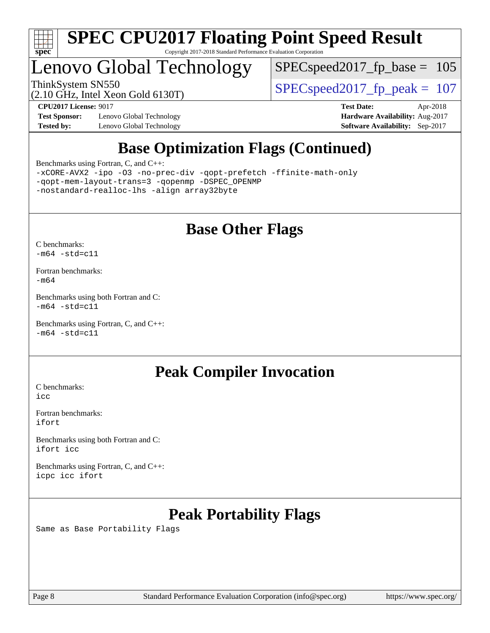

## Lenovo Global Technology

 $SPEC speed2017_fp\_base = 105$ 

(2.10 GHz, Intel Xeon Gold 6130T)

ThinkSystem SN550<br>  $SPEC speed2017$  fp\_peak = 107

**[Test Sponsor:](http://www.spec.org/auto/cpu2017/Docs/result-fields.html#TestSponsor)** Lenovo Global Technology **[Hardware Availability:](http://www.spec.org/auto/cpu2017/Docs/result-fields.html#HardwareAvailability)** Aug-2017 **[Tested by:](http://www.spec.org/auto/cpu2017/Docs/result-fields.html#Testedby)** Lenovo Global Technology **[Software Availability:](http://www.spec.org/auto/cpu2017/Docs/result-fields.html#SoftwareAvailability)** Sep-2017

**[CPU2017 License:](http://www.spec.org/auto/cpu2017/Docs/result-fields.html#CPU2017License)** 9017 **[Test Date:](http://www.spec.org/auto/cpu2017/Docs/result-fields.html#TestDate)** Apr-2018

## **[Base Optimization Flags \(Continued\)](http://www.spec.org/auto/cpu2017/Docs/result-fields.html#BaseOptimizationFlags)**

[Benchmarks using Fortran, C, and C++:](http://www.spec.org/auto/cpu2017/Docs/result-fields.html#BenchmarksusingFortranCandCXX)

[-xCORE-AVX2](http://www.spec.org/cpu2017/results/res2018q2/cpu2017-20180511-05448.flags.html#user_CC_CXX_FCbase_f-xCORE-AVX2) [-ipo](http://www.spec.org/cpu2017/results/res2018q2/cpu2017-20180511-05448.flags.html#user_CC_CXX_FCbase_f-ipo) [-O3](http://www.spec.org/cpu2017/results/res2018q2/cpu2017-20180511-05448.flags.html#user_CC_CXX_FCbase_f-O3) [-no-prec-div](http://www.spec.org/cpu2017/results/res2018q2/cpu2017-20180511-05448.flags.html#user_CC_CXX_FCbase_f-no-prec-div) [-qopt-prefetch](http://www.spec.org/cpu2017/results/res2018q2/cpu2017-20180511-05448.flags.html#user_CC_CXX_FCbase_f-qopt-prefetch) [-ffinite-math-only](http://www.spec.org/cpu2017/results/res2018q2/cpu2017-20180511-05448.flags.html#user_CC_CXX_FCbase_f_finite_math_only_cb91587bd2077682c4b38af759c288ed7c732db004271a9512da14a4f8007909a5f1427ecbf1a0fb78ff2a814402c6114ac565ca162485bbcae155b5e4258871) [-qopt-mem-layout-trans=3](http://www.spec.org/cpu2017/results/res2018q2/cpu2017-20180511-05448.flags.html#user_CC_CXX_FCbase_f-qopt-mem-layout-trans_de80db37974c74b1f0e20d883f0b675c88c3b01e9d123adea9b28688d64333345fb62bc4a798493513fdb68f60282f9a726aa07f478b2f7113531aecce732043) [-qopenmp](http://www.spec.org/cpu2017/results/res2018q2/cpu2017-20180511-05448.flags.html#user_CC_CXX_FCbase_qopenmp_16be0c44f24f464004c6784a7acb94aca937f053568ce72f94b139a11c7c168634a55f6653758ddd83bcf7b8463e8028bb0b48b77bcddc6b78d5d95bb1df2967) [-DSPEC\\_OPENMP](http://www.spec.org/cpu2017/results/res2018q2/cpu2017-20180511-05448.flags.html#suite_CC_CXX_FCbase_DSPEC_OPENMP) [-nostandard-realloc-lhs](http://www.spec.org/cpu2017/results/res2018q2/cpu2017-20180511-05448.flags.html#user_CC_CXX_FCbase_f_2003_std_realloc_82b4557e90729c0f113870c07e44d33d6f5a304b4f63d4c15d2d0f1fab99f5daaed73bdb9275d9ae411527f28b936061aa8b9c8f2d63842963b95c9dd6426b8a) [-align array32byte](http://www.spec.org/cpu2017/results/res2018q2/cpu2017-20180511-05448.flags.html#user_CC_CXX_FCbase_align_array32byte_b982fe038af199962ba9a80c053b8342c548c85b40b8e86eb3cc33dee0d7986a4af373ac2d51c3f7cf710a18d62fdce2948f201cd044323541f22fc0fffc51b6)

## **[Base Other Flags](http://www.spec.org/auto/cpu2017/Docs/result-fields.html#BaseOtherFlags)**

[C benchmarks](http://www.spec.org/auto/cpu2017/Docs/result-fields.html#Cbenchmarks):  $-m64 - std= c11$  $-m64 - std= c11$ 

[Fortran benchmarks](http://www.spec.org/auto/cpu2017/Docs/result-fields.html#Fortranbenchmarks): [-m64](http://www.spec.org/cpu2017/results/res2018q2/cpu2017-20180511-05448.flags.html#user_FCbase_intel_intel64_18.0_af43caccfc8ded86e7699f2159af6efc7655f51387b94da716254467f3c01020a5059329e2569e4053f409e7c9202a7efc638f7a6d1ffb3f52dea4a3e31d82ab)

[Benchmarks using both Fortran and C](http://www.spec.org/auto/cpu2017/Docs/result-fields.html#BenchmarksusingbothFortranandC):  $-m64$   $-std=cl1$ 

[Benchmarks using Fortran, C, and C++:](http://www.spec.org/auto/cpu2017/Docs/result-fields.html#BenchmarksusingFortranCandCXX)  $-m64$   $-std=cl1$ 

#### **[Peak Compiler Invocation](http://www.spec.org/auto/cpu2017/Docs/result-fields.html#PeakCompilerInvocation)**

[C benchmarks](http://www.spec.org/auto/cpu2017/Docs/result-fields.html#Cbenchmarks): [icc](http://www.spec.org/cpu2017/results/res2018q2/cpu2017-20180511-05448.flags.html#user_CCpeak_intel_icc_18.0_66fc1ee009f7361af1fbd72ca7dcefbb700085f36577c54f309893dd4ec40d12360134090235512931783d35fd58c0460139e722d5067c5574d8eaf2b3e37e92)

[Fortran benchmarks](http://www.spec.org/auto/cpu2017/Docs/result-fields.html#Fortranbenchmarks): [ifort](http://www.spec.org/cpu2017/results/res2018q2/cpu2017-20180511-05448.flags.html#user_FCpeak_intel_ifort_18.0_8111460550e3ca792625aed983ce982f94888b8b503583aa7ba2b8303487b4d8a21a13e7191a45c5fd58ff318f48f9492884d4413fa793fd88dd292cad7027ca)

[Benchmarks using both Fortran and C](http://www.spec.org/auto/cpu2017/Docs/result-fields.html#BenchmarksusingbothFortranandC): [ifort](http://www.spec.org/cpu2017/results/res2018q2/cpu2017-20180511-05448.flags.html#user_CC_FCpeak_intel_ifort_18.0_8111460550e3ca792625aed983ce982f94888b8b503583aa7ba2b8303487b4d8a21a13e7191a45c5fd58ff318f48f9492884d4413fa793fd88dd292cad7027ca) [icc](http://www.spec.org/cpu2017/results/res2018q2/cpu2017-20180511-05448.flags.html#user_CC_FCpeak_intel_icc_18.0_66fc1ee009f7361af1fbd72ca7dcefbb700085f36577c54f309893dd4ec40d12360134090235512931783d35fd58c0460139e722d5067c5574d8eaf2b3e37e92)

[Benchmarks using Fortran, C, and C++:](http://www.spec.org/auto/cpu2017/Docs/result-fields.html#BenchmarksusingFortranCandCXX) [icpc](http://www.spec.org/cpu2017/results/res2018q2/cpu2017-20180511-05448.flags.html#user_CC_CXX_FCpeak_intel_icpc_18.0_c510b6838c7f56d33e37e94d029a35b4a7bccf4766a728ee175e80a419847e808290a9b78be685c44ab727ea267ec2f070ec5dc83b407c0218cded6866a35d07) [icc](http://www.spec.org/cpu2017/results/res2018q2/cpu2017-20180511-05448.flags.html#user_CC_CXX_FCpeak_intel_icc_18.0_66fc1ee009f7361af1fbd72ca7dcefbb700085f36577c54f309893dd4ec40d12360134090235512931783d35fd58c0460139e722d5067c5574d8eaf2b3e37e92) [ifort](http://www.spec.org/cpu2017/results/res2018q2/cpu2017-20180511-05448.flags.html#user_CC_CXX_FCpeak_intel_ifort_18.0_8111460550e3ca792625aed983ce982f94888b8b503583aa7ba2b8303487b4d8a21a13e7191a45c5fd58ff318f48f9492884d4413fa793fd88dd292cad7027ca)

## **[Peak Portability Flags](http://www.spec.org/auto/cpu2017/Docs/result-fields.html#PeakPortabilityFlags)**

Same as Base Portability Flags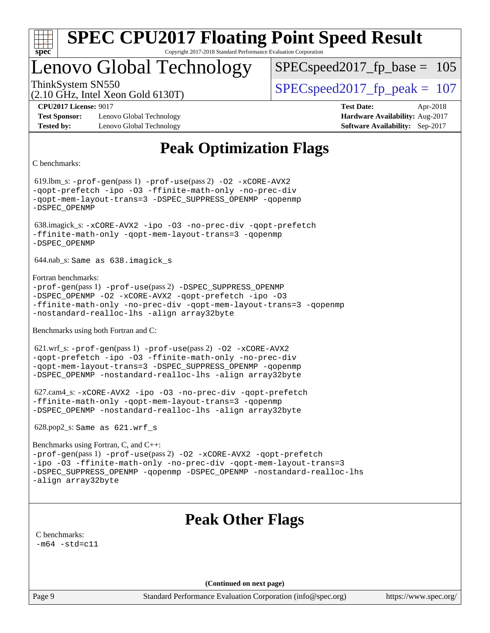

## Lenovo Global Technology

SPECspeed2017 fp base =  $105$ 

(2.10 GHz, Intel Xeon Gold 6130T)

ThinkSystem SN550<br>  $SPEC speed2017$  fp\_peak = 107

**[Test Sponsor:](http://www.spec.org/auto/cpu2017/Docs/result-fields.html#TestSponsor)** Lenovo Global Technology **[Hardware Availability:](http://www.spec.org/auto/cpu2017/Docs/result-fields.html#HardwareAvailability)** Aug-2017 **[Tested by:](http://www.spec.org/auto/cpu2017/Docs/result-fields.html#Testedby)** Lenovo Global Technology **[Software Availability:](http://www.spec.org/auto/cpu2017/Docs/result-fields.html#SoftwareAvailability)** Sep-2017

**[CPU2017 License:](http://www.spec.org/auto/cpu2017/Docs/result-fields.html#CPU2017License)** 9017 **[Test Date:](http://www.spec.org/auto/cpu2017/Docs/result-fields.html#TestDate)** Apr-2018

## **[Peak Optimization Flags](http://www.spec.org/auto/cpu2017/Docs/result-fields.html#PeakOptimizationFlags)**

[C benchmarks](http://www.spec.org/auto/cpu2017/Docs/result-fields.html#Cbenchmarks):

 619.lbm\_s: [-prof-gen](http://www.spec.org/cpu2017/results/res2018q2/cpu2017-20180511-05448.flags.html#user_peakPASS1_CFLAGSPASS1_LDFLAGS619_lbm_s_prof_gen_5aa4926d6013ddb2a31985c654b3eb18169fc0c6952a63635c234f711e6e63dd76e94ad52365559451ec499a2cdb89e4dc58ba4c67ef54ca681ffbe1461d6b36)(pass 1) [-prof-use](http://www.spec.org/cpu2017/results/res2018q2/cpu2017-20180511-05448.flags.html#user_peakPASS2_CFLAGSPASS2_LDFLAGS619_lbm_s_prof_use_1a21ceae95f36a2b53c25747139a6c16ca95bd9def2a207b4f0849963b97e94f5260e30a0c64f4bb623698870e679ca08317ef8150905d41bd88c6f78df73f19)(pass 2) [-O2](http://www.spec.org/cpu2017/results/res2018q2/cpu2017-20180511-05448.flags.html#user_peakPASS1_COPTIMIZE619_lbm_s_f-O2) [-xCORE-AVX2](http://www.spec.org/cpu2017/results/res2018q2/cpu2017-20180511-05448.flags.html#user_peakPASS2_COPTIMIZE619_lbm_s_f-xCORE-AVX2) [-qopt-prefetch](http://www.spec.org/cpu2017/results/res2018q2/cpu2017-20180511-05448.flags.html#user_peakPASS1_COPTIMIZEPASS2_COPTIMIZE619_lbm_s_f-qopt-prefetch) [-ipo](http://www.spec.org/cpu2017/results/res2018q2/cpu2017-20180511-05448.flags.html#user_peakPASS2_COPTIMIZE619_lbm_s_f-ipo) [-O3](http://www.spec.org/cpu2017/results/res2018q2/cpu2017-20180511-05448.flags.html#user_peakPASS2_COPTIMIZE619_lbm_s_f-O3) [-ffinite-math-only](http://www.spec.org/cpu2017/results/res2018q2/cpu2017-20180511-05448.flags.html#user_peakPASS1_COPTIMIZEPASS2_COPTIMIZE619_lbm_s_f_finite_math_only_cb91587bd2077682c4b38af759c288ed7c732db004271a9512da14a4f8007909a5f1427ecbf1a0fb78ff2a814402c6114ac565ca162485bbcae155b5e4258871) [-no-prec-div](http://www.spec.org/cpu2017/results/res2018q2/cpu2017-20180511-05448.flags.html#user_peakPASS2_COPTIMIZE619_lbm_s_f-no-prec-div) [-qopt-mem-layout-trans=3](http://www.spec.org/cpu2017/results/res2018q2/cpu2017-20180511-05448.flags.html#user_peakPASS1_COPTIMIZEPASS2_COPTIMIZE619_lbm_s_f-qopt-mem-layout-trans_de80db37974c74b1f0e20d883f0b675c88c3b01e9d123adea9b28688d64333345fb62bc4a798493513fdb68f60282f9a726aa07f478b2f7113531aecce732043) [-DSPEC\\_SUPPRESS\\_OPENMP](http://www.spec.org/cpu2017/results/res2018q2/cpu2017-20180511-05448.flags.html#suite_peakPASS1_COPTIMIZE619_lbm_s_DSPEC_SUPPRESS_OPENMP) [-qopenmp](http://www.spec.org/cpu2017/results/res2018q2/cpu2017-20180511-05448.flags.html#user_peakPASS2_COPTIMIZE619_lbm_s_qopenmp_16be0c44f24f464004c6784a7acb94aca937f053568ce72f94b139a11c7c168634a55f6653758ddd83bcf7b8463e8028bb0b48b77bcddc6b78d5d95bb1df2967) [-DSPEC\\_OPENMP](http://www.spec.org/cpu2017/results/res2018q2/cpu2017-20180511-05448.flags.html#suite_peakPASS2_COPTIMIZE619_lbm_s_DSPEC_OPENMP) 638.imagick\_s: [-xCORE-AVX2](http://www.spec.org/cpu2017/results/res2018q2/cpu2017-20180511-05448.flags.html#user_peakCOPTIMIZE638_imagick_s_f-xCORE-AVX2) [-ipo](http://www.spec.org/cpu2017/results/res2018q2/cpu2017-20180511-05448.flags.html#user_peakCOPTIMIZE638_imagick_s_f-ipo) [-O3](http://www.spec.org/cpu2017/results/res2018q2/cpu2017-20180511-05448.flags.html#user_peakCOPTIMIZE638_imagick_s_f-O3) [-no-prec-div](http://www.spec.org/cpu2017/results/res2018q2/cpu2017-20180511-05448.flags.html#user_peakCOPTIMIZE638_imagick_s_f-no-prec-div) [-qopt-prefetch](http://www.spec.org/cpu2017/results/res2018q2/cpu2017-20180511-05448.flags.html#user_peakCOPTIMIZE638_imagick_s_f-qopt-prefetch) [-ffinite-math-only](http://www.spec.org/cpu2017/results/res2018q2/cpu2017-20180511-05448.flags.html#user_peakCOPTIMIZE638_imagick_s_f_finite_math_only_cb91587bd2077682c4b38af759c288ed7c732db004271a9512da14a4f8007909a5f1427ecbf1a0fb78ff2a814402c6114ac565ca162485bbcae155b5e4258871) [-qopt-mem-layout-trans=3](http://www.spec.org/cpu2017/results/res2018q2/cpu2017-20180511-05448.flags.html#user_peakCOPTIMIZE638_imagick_s_f-qopt-mem-layout-trans_de80db37974c74b1f0e20d883f0b675c88c3b01e9d123adea9b28688d64333345fb62bc4a798493513fdb68f60282f9a726aa07f478b2f7113531aecce732043) [-qopenmp](http://www.spec.org/cpu2017/results/res2018q2/cpu2017-20180511-05448.flags.html#user_peakCOPTIMIZE638_imagick_s_qopenmp_16be0c44f24f464004c6784a7acb94aca937f053568ce72f94b139a11c7c168634a55f6653758ddd83bcf7b8463e8028bb0b48b77bcddc6b78d5d95bb1df2967) [-DSPEC\\_OPENMP](http://www.spec.org/cpu2017/results/res2018q2/cpu2017-20180511-05448.flags.html#suite_peakCOPTIMIZE638_imagick_s_DSPEC_OPENMP) 644.nab\_s: Same as 638.imagick\_s [Fortran benchmarks:](http://www.spec.org/auto/cpu2017/Docs/result-fields.html#Fortranbenchmarks) [-prof-gen](http://www.spec.org/cpu2017/results/res2018q2/cpu2017-20180511-05448.flags.html#user_FCpeak_prof_gen_5aa4926d6013ddb2a31985c654b3eb18169fc0c6952a63635c234f711e6e63dd76e94ad52365559451ec499a2cdb89e4dc58ba4c67ef54ca681ffbe1461d6b36)(pass 1) [-prof-use](http://www.spec.org/cpu2017/results/res2018q2/cpu2017-20180511-05448.flags.html#user_FCpeak_prof_use_1a21ceae95f36a2b53c25747139a6c16ca95bd9def2a207b4f0849963b97e94f5260e30a0c64f4bb623698870e679ca08317ef8150905d41bd88c6f78df73f19)(pass 2) [-DSPEC\\_SUPPRESS\\_OPENMP](http://www.spec.org/cpu2017/results/res2018q2/cpu2017-20180511-05448.flags.html#suite_FCpeak_DSPEC_SUPPRESS_OPENMP) [-DSPEC\\_OPENMP](http://www.spec.org/cpu2017/results/res2018q2/cpu2017-20180511-05448.flags.html#suite_FCpeak_DSPEC_OPENMP) [-O2](http://www.spec.org/cpu2017/results/res2018q2/cpu2017-20180511-05448.flags.html#user_FCpeak_f-O2) [-xCORE-AVX2](http://www.spec.org/cpu2017/results/res2018q2/cpu2017-20180511-05448.flags.html#user_FCpeak_f-xCORE-AVX2) [-qopt-prefetch](http://www.spec.org/cpu2017/results/res2018q2/cpu2017-20180511-05448.flags.html#user_FCpeak_f-qopt-prefetch) [-ipo](http://www.spec.org/cpu2017/results/res2018q2/cpu2017-20180511-05448.flags.html#user_FCpeak_f-ipo) [-O3](http://www.spec.org/cpu2017/results/res2018q2/cpu2017-20180511-05448.flags.html#user_FCpeak_f-O3) [-ffinite-math-only](http://www.spec.org/cpu2017/results/res2018q2/cpu2017-20180511-05448.flags.html#user_FCpeak_f_finite_math_only_cb91587bd2077682c4b38af759c288ed7c732db004271a9512da14a4f8007909a5f1427ecbf1a0fb78ff2a814402c6114ac565ca162485bbcae155b5e4258871) [-no-prec-div](http://www.spec.org/cpu2017/results/res2018q2/cpu2017-20180511-05448.flags.html#user_FCpeak_f-no-prec-div) [-qopt-mem-layout-trans=3](http://www.spec.org/cpu2017/results/res2018q2/cpu2017-20180511-05448.flags.html#user_FCpeak_f-qopt-mem-layout-trans_de80db37974c74b1f0e20d883f0b675c88c3b01e9d123adea9b28688d64333345fb62bc4a798493513fdb68f60282f9a726aa07f478b2f7113531aecce732043) [-qopenmp](http://www.spec.org/cpu2017/results/res2018q2/cpu2017-20180511-05448.flags.html#user_FCpeak_qopenmp_16be0c44f24f464004c6784a7acb94aca937f053568ce72f94b139a11c7c168634a55f6653758ddd83bcf7b8463e8028bb0b48b77bcddc6b78d5d95bb1df2967) [-nostandard-realloc-lhs](http://www.spec.org/cpu2017/results/res2018q2/cpu2017-20180511-05448.flags.html#user_FCpeak_f_2003_std_realloc_82b4557e90729c0f113870c07e44d33d6f5a304b4f63d4c15d2d0f1fab99f5daaed73bdb9275d9ae411527f28b936061aa8b9c8f2d63842963b95c9dd6426b8a) [-align array32byte](http://www.spec.org/cpu2017/results/res2018q2/cpu2017-20180511-05448.flags.html#user_FCpeak_align_array32byte_b982fe038af199962ba9a80c053b8342c548c85b40b8e86eb3cc33dee0d7986a4af373ac2d51c3f7cf710a18d62fdce2948f201cd044323541f22fc0fffc51b6) [Benchmarks using both Fortran and C](http://www.spec.org/auto/cpu2017/Docs/result-fields.html#BenchmarksusingbothFortranandC): 621.wrf\_s: [-prof-gen](http://www.spec.org/cpu2017/results/res2018q2/cpu2017-20180511-05448.flags.html#user_peakPASS1_CFLAGSPASS1_FFLAGSPASS1_LDFLAGS621_wrf_s_prof_gen_5aa4926d6013ddb2a31985c654b3eb18169fc0c6952a63635c234f711e6e63dd76e94ad52365559451ec499a2cdb89e4dc58ba4c67ef54ca681ffbe1461d6b36)(pass 1) [-prof-use](http://www.spec.org/cpu2017/results/res2018q2/cpu2017-20180511-05448.flags.html#user_peakPASS2_CFLAGSPASS2_FFLAGSPASS2_LDFLAGS621_wrf_s_prof_use_1a21ceae95f36a2b53c25747139a6c16ca95bd9def2a207b4f0849963b97e94f5260e30a0c64f4bb623698870e679ca08317ef8150905d41bd88c6f78df73f19)(pass 2) [-O2](http://www.spec.org/cpu2017/results/res2018q2/cpu2017-20180511-05448.flags.html#user_peakPASS1_COPTIMIZEPASS1_FOPTIMIZE621_wrf_s_f-O2) [-xCORE-AVX2](http://www.spec.org/cpu2017/results/res2018q2/cpu2017-20180511-05448.flags.html#user_peakPASS2_COPTIMIZEPASS2_FOPTIMIZE621_wrf_s_f-xCORE-AVX2) [-qopt-prefetch](http://www.spec.org/cpu2017/results/res2018q2/cpu2017-20180511-05448.flags.html#user_peakPASS1_COPTIMIZEPASS1_FOPTIMIZEPASS2_COPTIMIZEPASS2_FOPTIMIZE621_wrf_s_f-qopt-prefetch) [-ipo](http://www.spec.org/cpu2017/results/res2018q2/cpu2017-20180511-05448.flags.html#user_peakPASS2_COPTIMIZEPASS2_FOPTIMIZE621_wrf_s_f-ipo) [-O3](http://www.spec.org/cpu2017/results/res2018q2/cpu2017-20180511-05448.flags.html#user_peakPASS2_COPTIMIZEPASS2_FOPTIMIZE621_wrf_s_f-O3) [-ffinite-math-only](http://www.spec.org/cpu2017/results/res2018q2/cpu2017-20180511-05448.flags.html#user_peakPASS1_COPTIMIZEPASS1_FOPTIMIZEPASS2_COPTIMIZEPASS2_FOPTIMIZE621_wrf_s_f_finite_math_only_cb91587bd2077682c4b38af759c288ed7c732db004271a9512da14a4f8007909a5f1427ecbf1a0fb78ff2a814402c6114ac565ca162485bbcae155b5e4258871) [-no-prec-div](http://www.spec.org/cpu2017/results/res2018q2/cpu2017-20180511-05448.flags.html#user_peakPASS2_COPTIMIZEPASS2_FOPTIMIZE621_wrf_s_f-no-prec-div) [-qopt-mem-layout-trans=3](http://www.spec.org/cpu2017/results/res2018q2/cpu2017-20180511-05448.flags.html#user_peakPASS1_COPTIMIZEPASS1_FOPTIMIZEPASS2_COPTIMIZEPASS2_FOPTIMIZE621_wrf_s_f-qopt-mem-layout-trans_de80db37974c74b1f0e20d883f0b675c88c3b01e9d123adea9b28688d64333345fb62bc4a798493513fdb68f60282f9a726aa07f478b2f7113531aecce732043) [-DSPEC\\_SUPPRESS\\_OPENMP](http://www.spec.org/cpu2017/results/res2018q2/cpu2017-20180511-05448.flags.html#suite_peakPASS1_COPTIMIZEPASS1_FOPTIMIZE621_wrf_s_DSPEC_SUPPRESS_OPENMP) [-qopenmp](http://www.spec.org/cpu2017/results/res2018q2/cpu2017-20180511-05448.flags.html#user_peakPASS2_COPTIMIZEPASS2_FOPTIMIZE621_wrf_s_qopenmp_16be0c44f24f464004c6784a7acb94aca937f053568ce72f94b139a11c7c168634a55f6653758ddd83bcf7b8463e8028bb0b48b77bcddc6b78d5d95bb1df2967) [-DSPEC\\_OPENMP](http://www.spec.org/cpu2017/results/res2018q2/cpu2017-20180511-05448.flags.html#suite_peakPASS2_COPTIMIZEPASS2_FOPTIMIZE621_wrf_s_DSPEC_OPENMP) [-nostandard-realloc-lhs](http://www.spec.org/cpu2017/results/res2018q2/cpu2017-20180511-05448.flags.html#user_peakEXTRA_FOPTIMIZE621_wrf_s_f_2003_std_realloc_82b4557e90729c0f113870c07e44d33d6f5a304b4f63d4c15d2d0f1fab99f5daaed73bdb9275d9ae411527f28b936061aa8b9c8f2d63842963b95c9dd6426b8a) [-align array32byte](http://www.spec.org/cpu2017/results/res2018q2/cpu2017-20180511-05448.flags.html#user_peakEXTRA_FOPTIMIZE621_wrf_s_align_array32byte_b982fe038af199962ba9a80c053b8342c548c85b40b8e86eb3cc33dee0d7986a4af373ac2d51c3f7cf710a18d62fdce2948f201cd044323541f22fc0fffc51b6) 627.cam4\_s: [-xCORE-AVX2](http://www.spec.org/cpu2017/results/res2018q2/cpu2017-20180511-05448.flags.html#user_peakCOPTIMIZEFOPTIMIZE627_cam4_s_f-xCORE-AVX2) [-ipo](http://www.spec.org/cpu2017/results/res2018q2/cpu2017-20180511-05448.flags.html#user_peakCOPTIMIZEFOPTIMIZE627_cam4_s_f-ipo) [-O3](http://www.spec.org/cpu2017/results/res2018q2/cpu2017-20180511-05448.flags.html#user_peakCOPTIMIZEFOPTIMIZE627_cam4_s_f-O3) [-no-prec-div](http://www.spec.org/cpu2017/results/res2018q2/cpu2017-20180511-05448.flags.html#user_peakCOPTIMIZEFOPTIMIZE627_cam4_s_f-no-prec-div) [-qopt-prefetch](http://www.spec.org/cpu2017/results/res2018q2/cpu2017-20180511-05448.flags.html#user_peakCOPTIMIZEFOPTIMIZE627_cam4_s_f-qopt-prefetch) [-ffinite-math-only](http://www.spec.org/cpu2017/results/res2018q2/cpu2017-20180511-05448.flags.html#user_peakCOPTIMIZEFOPTIMIZE627_cam4_s_f_finite_math_only_cb91587bd2077682c4b38af759c288ed7c732db004271a9512da14a4f8007909a5f1427ecbf1a0fb78ff2a814402c6114ac565ca162485bbcae155b5e4258871) [-qopt-mem-layout-trans=3](http://www.spec.org/cpu2017/results/res2018q2/cpu2017-20180511-05448.flags.html#user_peakCOPTIMIZEFOPTIMIZE627_cam4_s_f-qopt-mem-layout-trans_de80db37974c74b1f0e20d883f0b675c88c3b01e9d123adea9b28688d64333345fb62bc4a798493513fdb68f60282f9a726aa07f478b2f7113531aecce732043) [-qopenmp](http://www.spec.org/cpu2017/results/res2018q2/cpu2017-20180511-05448.flags.html#user_peakCOPTIMIZEFOPTIMIZE627_cam4_s_qopenmp_16be0c44f24f464004c6784a7acb94aca937f053568ce72f94b139a11c7c168634a55f6653758ddd83bcf7b8463e8028bb0b48b77bcddc6b78d5d95bb1df2967) [-DSPEC\\_OPENMP](http://www.spec.org/cpu2017/results/res2018q2/cpu2017-20180511-05448.flags.html#suite_peakCOPTIMIZEFOPTIMIZE627_cam4_s_DSPEC_OPENMP) [-nostandard-realloc-lhs](http://www.spec.org/cpu2017/results/res2018q2/cpu2017-20180511-05448.flags.html#user_peakEXTRA_FOPTIMIZE627_cam4_s_f_2003_std_realloc_82b4557e90729c0f113870c07e44d33d6f5a304b4f63d4c15d2d0f1fab99f5daaed73bdb9275d9ae411527f28b936061aa8b9c8f2d63842963b95c9dd6426b8a) [-align array32byte](http://www.spec.org/cpu2017/results/res2018q2/cpu2017-20180511-05448.flags.html#user_peakEXTRA_FOPTIMIZE627_cam4_s_align_array32byte_b982fe038af199962ba9a80c053b8342c548c85b40b8e86eb3cc33dee0d7986a4af373ac2d51c3f7cf710a18d62fdce2948f201cd044323541f22fc0fffc51b6) 628.pop2\_s: Same as 621.wrf\_s [Benchmarks using Fortran, C, and C++](http://www.spec.org/auto/cpu2017/Docs/result-fields.html#BenchmarksusingFortranCandCXX): [-prof-gen](http://www.spec.org/cpu2017/results/res2018q2/cpu2017-20180511-05448.flags.html#user_CC_CXX_FCpeak_prof_gen_5aa4926d6013ddb2a31985c654b3eb18169fc0c6952a63635c234f711e6e63dd76e94ad52365559451ec499a2cdb89e4dc58ba4c67ef54ca681ffbe1461d6b36)(pass 1) [-prof-use](http://www.spec.org/cpu2017/results/res2018q2/cpu2017-20180511-05448.flags.html#user_CC_CXX_FCpeak_prof_use_1a21ceae95f36a2b53c25747139a6c16ca95bd9def2a207b4f0849963b97e94f5260e30a0c64f4bb623698870e679ca08317ef8150905d41bd88c6f78df73f19)(pass 2) [-O2](http://www.spec.org/cpu2017/results/res2018q2/cpu2017-20180511-05448.flags.html#user_CC_CXX_FCpeak_f-O2) [-xCORE-AVX2](http://www.spec.org/cpu2017/results/res2018q2/cpu2017-20180511-05448.flags.html#user_CC_CXX_FCpeak_f-xCORE-AVX2) [-qopt-prefetch](http://www.spec.org/cpu2017/results/res2018q2/cpu2017-20180511-05448.flags.html#user_CC_CXX_FCpeak_f-qopt-prefetch) [-ipo](http://www.spec.org/cpu2017/results/res2018q2/cpu2017-20180511-05448.flags.html#user_CC_CXX_FCpeak_f-ipo) [-O3](http://www.spec.org/cpu2017/results/res2018q2/cpu2017-20180511-05448.flags.html#user_CC_CXX_FCpeak_f-O3) [-ffinite-math-only](http://www.spec.org/cpu2017/results/res2018q2/cpu2017-20180511-05448.flags.html#user_CC_CXX_FCpeak_f_finite_math_only_cb91587bd2077682c4b38af759c288ed7c732db004271a9512da14a4f8007909a5f1427ecbf1a0fb78ff2a814402c6114ac565ca162485bbcae155b5e4258871) [-no-prec-div](http://www.spec.org/cpu2017/results/res2018q2/cpu2017-20180511-05448.flags.html#user_CC_CXX_FCpeak_f-no-prec-div) [-qopt-mem-layout-trans=3](http://www.spec.org/cpu2017/results/res2018q2/cpu2017-20180511-05448.flags.html#user_CC_CXX_FCpeak_f-qopt-mem-layout-trans_de80db37974c74b1f0e20d883f0b675c88c3b01e9d123adea9b28688d64333345fb62bc4a798493513fdb68f60282f9a726aa07f478b2f7113531aecce732043) [-DSPEC\\_SUPPRESS\\_OPENMP](http://www.spec.org/cpu2017/results/res2018q2/cpu2017-20180511-05448.flags.html#suite_CC_CXX_FCpeak_DSPEC_SUPPRESS_OPENMP) [-qopenmp](http://www.spec.org/cpu2017/results/res2018q2/cpu2017-20180511-05448.flags.html#user_CC_CXX_FCpeak_qopenmp_16be0c44f24f464004c6784a7acb94aca937f053568ce72f94b139a11c7c168634a55f6653758ddd83bcf7b8463e8028bb0b48b77bcddc6b78d5d95bb1df2967) [-DSPEC\\_OPENMP](http://www.spec.org/cpu2017/results/res2018q2/cpu2017-20180511-05448.flags.html#suite_CC_CXX_FCpeak_DSPEC_OPENMP) [-nostandard-realloc-lhs](http://www.spec.org/cpu2017/results/res2018q2/cpu2017-20180511-05448.flags.html#user_CC_CXX_FCpeak_f_2003_std_realloc_82b4557e90729c0f113870c07e44d33d6f5a304b4f63d4c15d2d0f1fab99f5daaed73bdb9275d9ae411527f28b936061aa8b9c8f2d63842963b95c9dd6426b8a) [-align array32byte](http://www.spec.org/cpu2017/results/res2018q2/cpu2017-20180511-05448.flags.html#user_CC_CXX_FCpeak_align_array32byte_b982fe038af199962ba9a80c053b8342c548c85b40b8e86eb3cc33dee0d7986a4af373ac2d51c3f7cf710a18d62fdce2948f201cd044323541f22fc0fffc51b6) **[Peak Other Flags](http://www.spec.org/auto/cpu2017/Docs/result-fields.html#PeakOtherFlags)** [C benchmarks](http://www.spec.org/auto/cpu2017/Docs/result-fields.html#Cbenchmarks):  $-m64 - std= c11$  $-m64 - std= c11$ **(Continued on next page)**

Page 9 Standard Performance Evaluation Corporation [\(info@spec.org\)](mailto:info@spec.org) <https://www.spec.org/>